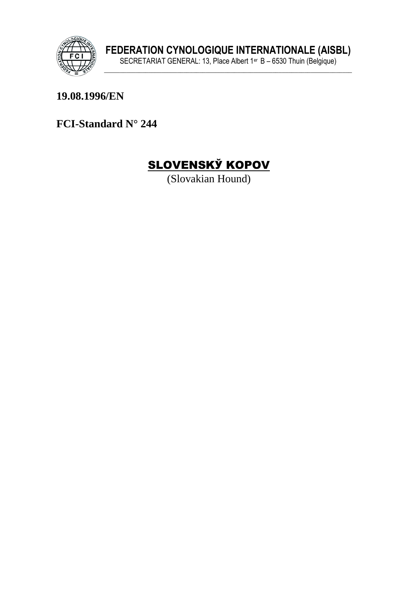

19.08.1996/EN

FCI-Standard N° 244



(Slovakian Hound)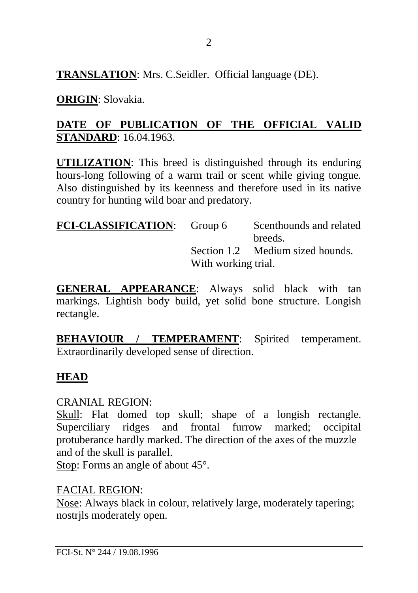**TRANSLATION**: Mrs. C.Seidler. Official language (DE).

#### **ORIGIN**: Slovakia.

#### **DATE OF PUBLICATION OF THE OFFICIAL VALID STANDARD**: 16.04.1963.

**UTILIZATION**: This breed is distinguished through its enduring hours-long following of a warm trail or scent while giving tongue. Also distinguished by its keenness and therefore used in its native country for hunting wild boar and predatory.

| <b>FCI-CLASSIFICATION:</b> Group 6 |                     | Scenthounds and related          |
|------------------------------------|---------------------|----------------------------------|
|                                    |                     | breeds.                          |
|                                    |                     | Section 1.2 Medium sized hounds. |
|                                    | With working trial. |                                  |

**GENERAL APPEARANCE**: Always solid black with tan markings. Lightish body build, yet solid bone structure. Longish rectangle.

**BEHAVIOUR / TEMPERAMENT**: Spirited temperament. Extraordinarily developed sense of direction.

## **HEAD**

#### CRANIAL REGION:

Skull: Flat domed top skull; shape of a longish rectangle. Superciliary ridges and frontal furrow marked; occipital protuberance hardly marked. The direction of the axes of the muzzle and of the skull is parallel.

Stop: Forms an angle of about 45°.

#### FACIAL REGION:

Nose: Always black in colour, relatively large, moderately tapering; nostrjls moderately open.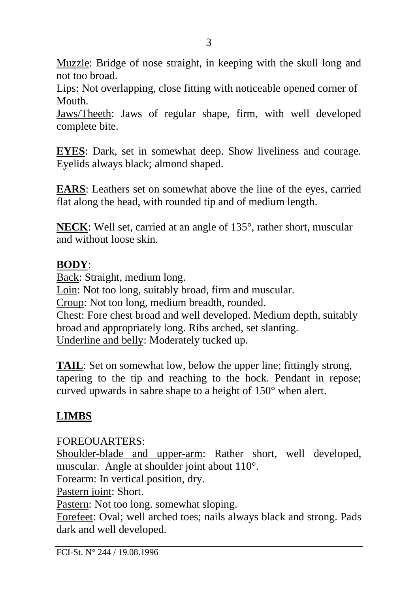Muzzle: Bridge of nose straight, in keeping with the skull long and not too broad.

Lips: Not overlapping, close fitting with noticeable opened corner of Mouth.

Jaws/Theeth: Jaws of regular shape, firm, with well developed complete bite.

**EYES**: Dark, set in somewhat deep. Show liveliness and courage. Eyelids always black; almond shaped.

**EARS**: Leathers set on somewhat above the line of the eyes, carried flat along the head, with rounded tip and of medium length.

**NECK**: Well set, carried at an angle of 135°, rather short, muscular and without loose skin.

#### **BODY**:

Back: Straight, medium long. Loin: Not too long, suitably broad, firm and muscular. Croup: Not too long, medium breadth, rounded. Chest: Fore chest broad and well developed. Medium depth, suitably broad and appropriately long. Ribs arched, set slanting. Underline and belly: Moderately tucked up.

**TAIL:** Set on somewhat low, below the upper line; fittingly strong, tapering to the tip and reaching to the hock. Pendant in repose; curved upwards in sabre shape to a height of 150° when alert.

## **LIMBS**

FOREOUARTERS:

Shoulder-blade and upper-arm: Rather short, well developed, muscular. Angle at shoulder joint about 110°.

Forearm: In vertical position, dry.

Pastern joint: Short.

Pastern: Not too long. somewhat sloping.

Forefeet: Oval; well arched toes; nails always black and strong. Pads dark and well developed.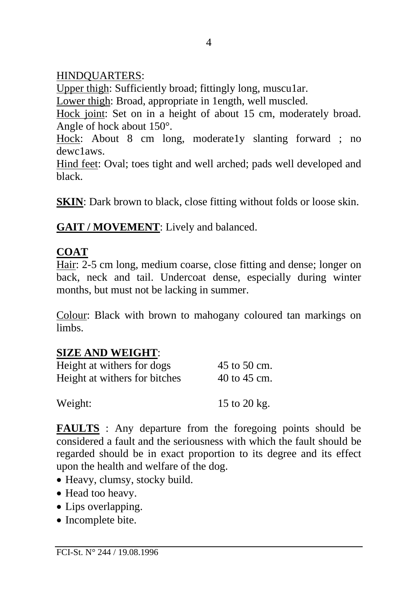#### HINDQUARTERS:

Upper thigh: Sufficiently broad; fittingly long, muscular.

Lower thigh: Broad, appropriate in 1ength, well muscled.

Hock joint: Set on in a height of about 15 cm, moderately broad. Angle of hock about 150°.

Hock: About 8 cm long, moderate1y slanting forward ; no dewc1aws.

Hind feet: Oval; toes tight and well arched; pads well developed and black.

**SKIN**: Dark brown to black, close fitting without folds or loose skin.

**GAIT / MOVEMENT**: Lively and balanced.

## **COAT**

Hair: 2-5 cm long, medium coarse, close fitting and dense; longer on back, neck and tail. Undercoat dense, especially during winter months, but must not be lacking in summer.

Colour: Black with brown to mahogany coloured tan markings on limbs.

## **SIZE AND WEIGHT**:

| Height at withers for dogs    | 45 to 50 cm.     |
|-------------------------------|------------------|
| Height at withers for bitches | $40$ to $45$ cm. |
| Weight:                       | 15 to 20 kg.     |

**FAULTS** : Any departure from the foregoing points should be considered a fault and the seriousness with which the fault should be regarded should be in exact proportion to its degree and its effect upon the health and welfare of the dog.

- Heavy, clumsy, stocky build.
- Head too heavy.
- Lips overlapping.
- Incomplete bite.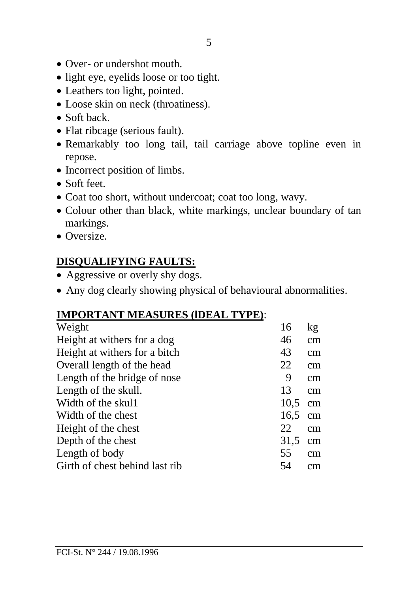- Over- or undershot mouth.
- light eye, eyelids loose or too tight.
- Leathers too light, pointed.
- Loose skin on neck (throatiness).
- Soft back
- Flat ribcage (serious fault).
- Remarkably too long tail, tail carriage above topline even in repose.
- Incorrect position of limbs.
- Soft feet.
- Coat too short, without undercoat; coat too long, wavy.
- Colour other than black, white markings, unclear boundary of tan markings.
- Oversize.

# **DISQUALIFYING FAULTS:**

- Aggressive or overly shy dogs.
- Any dog clearly showing physical of behavioural abnormalities.

## **IMPORTANT MEASURES (lDEAL TYPE)**:

| Weight                         | 16   | kg |
|--------------------------------|------|----|
| Height at withers for a dog    | 46   | cm |
| Height at withers for a bitch  | 43   | cm |
| Overall length of the head     | 22   | cm |
| Length of the bridge of nose   | 9    | cm |
| Length of the skull.           | 13   | cm |
| Width of the skul1             | 10.5 | cm |
| Width of the chest             | 16.5 | cm |
| Height of the chest            | 22   | cm |
| Depth of the chest             | 31,5 | cm |
| Length of body                 | 55   | cm |
| Girth of chest behind last rib | 54   | cm |
|                                |      |    |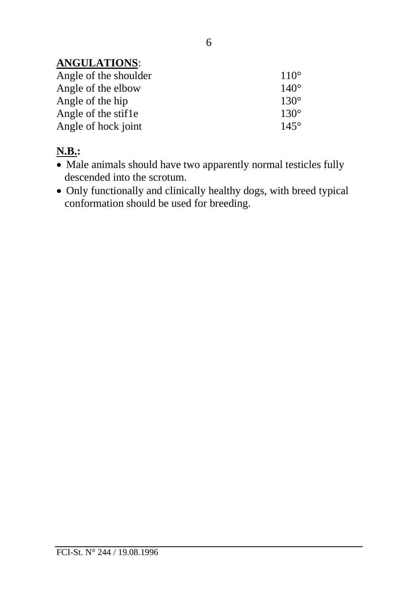## **ANGULATIONS**:

| $110^\circ$ |
|-------------|
| $140^\circ$ |
| $130^\circ$ |
| $130^\circ$ |
| $145^\circ$ |
|             |

# **N.B.:**

- Male animals should have two apparently normal testicles fully descended into the scrotum.
- Only functionally and clinically healthy dogs, with breed typical conformation should be used for breeding.